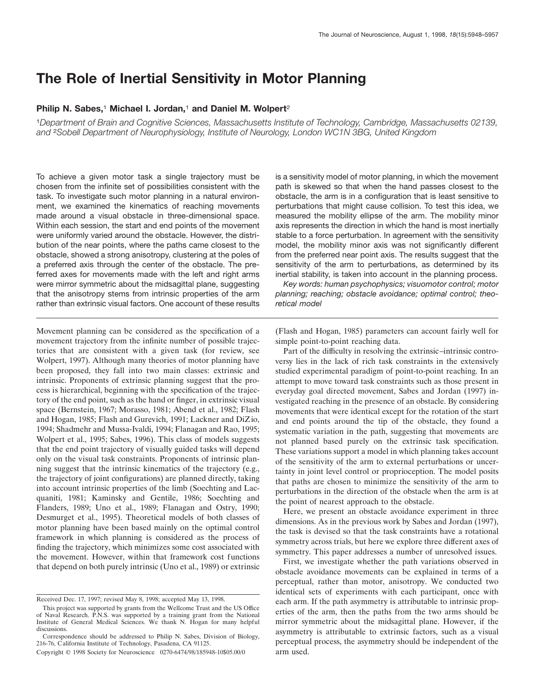# **The Role of Inertial Sensitivity in Motor Planning**

# **Philip N. Sabes,**<sup>1</sup> **Michael I. Jordan,**<sup>1</sup> **and Daniel M. Wolpert**<sup>2</sup>

<sup>1</sup>*Department of Brain and Cognitive Sciences, Massachusetts Institute of Technology, Cambridge, Massachusetts 02139, and* <sup>2</sup>*Sobell Department of Neurophysiology, Institute of Neurology, London WC1N 3BG, United Kingdom*

To achieve a given motor task a single trajectory must be chosen from the infinite set of possibilities consistent with the task. To investigate such motor planning in a natural environment, we examined the kinematics of reaching movements made around a visual obstacle in three-dimensional space. Within each session, the start and end points of the movement were uniformly varied around the obstacle. However, the distribution of the near points, where the paths came closest to the obstacle, showed a strong anisotropy, clustering at the poles of a preferred axis through the center of the obstacle. The preferred axes for movements made with the left and right arms were mirror symmetric about the midsagittal plane, suggesting that the anisotropy stems from intrinsic properties of the arm rather than extrinsic visual factors. One account of these results

Movement planning can be considered as the specification of a movement trajectory from the infinite number of possible trajectories that are consistent with a given task (for review, see Wolpert, 1997). Although many theories of motor planning have been proposed, they fall into two main classes: extrinsic and intrinsic. Proponents of extrinsic planning suggest that the process is hierarchical, beginning with the specification of the trajectory of the end point, such as the hand or finger, in extrinsic visual space (Bernstein, 1967; Morasso, 1981; Abend et al., 1982; Flash and Hogan, 1985; Flash and Gurevich, 1991; Lackner and DiZio, 1994; Shadmehr and Mussa-Ivaldi, 1994; Flanagan and Rao, 1995; Wolpert et al., 1995; Sabes, 1996). This class of models suggests that the end point trajectory of visually guided tasks will depend only on the visual task constraints. Proponents of intrinsic planning suggest that the intrinsic kinematics of the trajectory (e.g., the trajectory of joint configurations) are planned directly, taking into account intrinsic properties of the limb (Soechting and Lacquaniti, 1981; Kaminsky and Gentile, 1986; Soechting and Flanders, 1989; Uno et al., 1989; Flanagan and Ostry, 1990; Desmurget et al., 1995). Theoretical models of both classes of motor planning have been based mainly on the optimal control framework in which planning is considered as the process of finding the trajectory, which minimizes some cost associated with the movement. However, within that framework cost functions that depend on both purely intrinsic (Uno et al., 1989) or extrinsic is a sensitivity model of motor planning, in which the movement path is skewed so that when the hand passes closest to the obstacle, the arm is in a configuration that is least sensitive to perturbations that might cause collision. To test this idea, we measured the mobility ellipse of the arm. The mobility minor axis represents the direction in which the hand is most inertially stable to a force perturbation. In agreement with the sensitivity model, the mobility minor axis was not significantly different from the preferred near point axis. The results suggest that the sensitivity of the arm to perturbations, as determined by its inertial stability, is taken into account in the planning process.

*Key words: human psychophysics; visuomotor control; motor planning; reaching; obstacle avoidance; optimal control; theoretical model*

(Flash and Hogan, 1985) parameters can account fairly well for simple point-to-point reaching data.

Part of the difficulty in resolving the extrinsic–intrinsic controversy lies in the lack of rich task constraints in the extensively studied experimental paradigm of point-to-point reaching. In an attempt to move toward task constraints such as those present in everyday goal directed movement, Sabes and Jordan (1997) investigated reaching in the presence of an obstacle. By considering movements that were identical except for the rotation of the start and end points around the tip of the obstacle, they found a systematic variation in the path, suggesting that movements are not planned based purely on the extrinsic task specification. These variations support a model in which planning takes account of the sensitivity of the arm to external perturbations or uncertainty in joint level control or proprioception. The model posits that paths are chosen to minimize the sensitivity of the arm to perturbations in the direction of the obstacle when the arm is at the point of nearest approach to the obstacle.

Here, we present an obstacle avoidance experiment in three dimensions. As in the previous work by Sabes and Jordan (1997), the task is devised so that the task constraints have a rotational symmetry across trials, but here we explore three different axes of symmetry. This paper addresses a number of unresolved issues.

First, we investigate whether the path variations observed in obstacle avoidance movements can be explained in terms of a perceptual, rather than motor, anisotropy. We conducted two identical sets of experiments with each participant, once with each arm. If the path asymmetry is attributable to intrinsic properties of the arm, then the paths from the two arms should be mirror symmetric about the midsagittal plane. However, if the asymmetry is attributable to extrinsic factors, such as a visual perceptual process, the asymmetry should be independent of the arm used.

Received Dec. 17, 1997; revised May 8, 1998; accepted May 13, 1998.

This project was supported by grants from the Wellcome Trust and the US Office of Naval Research. P.N.S. was supported by a training grant from the National Institute of General Medical Sciences. We thank N. Hogan for many helpful discussions.

Correspondence should be addressed to Philip N. Sabes, Division of Biology, 216-76, California Institute of Technology, Pasadena, CA 91125.

Copyright © 1998 Society for Neuroscience 0270-6474/98/185948-10\$05.00/0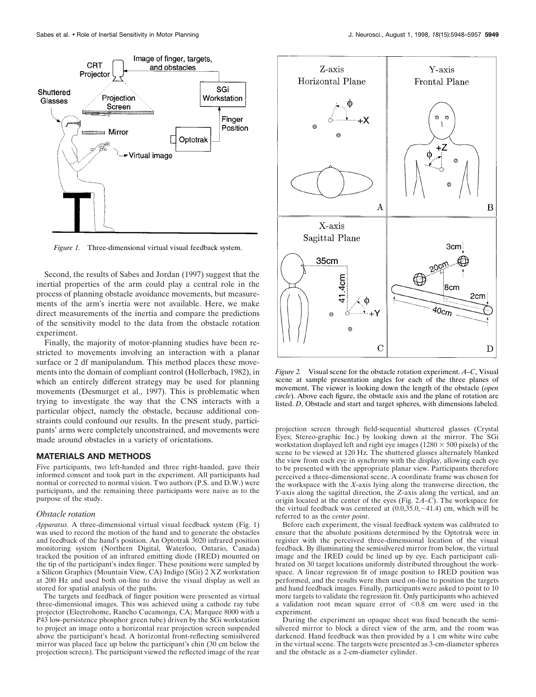

*Figure 1.* Three-dimensional virtual visual feedback system.

Second, the results of Sabes and Jordan (1997) suggest that the inertial properties of the arm could play a central role in the process of planning obstacle avoidance movements, but measurements of the arm's inertia were not available. Here, we make direct measurements of the inertia and compare the predictions of the sensitivity model to the data from the obstacle rotation experiment.

Finally, the majority of motor-planning studies have been restricted to movements involving an interaction with a planar surface or 2 df manipulandum. This method places these movements into the domain of compliant control (Hollerbach, 1982), in which an entirely different strategy may be used for planning movements (Desmurget et al., 1997). This is problematic when trying to investigate the way that the CNS interacts with a particular object, namely the obstacle, because additional constraints could confound our results. In the present study, participants' arms were completely unconstrained, and movements were made around obstacles in a variety of orientations.

### **MATERIALS AND METHODS**

Five participants, two left-handed and three right-handed, gave their informed consent and took part in the experiment. All participants had normal or corrected to normal vision. Two authors (P.S. and D.W.) were participants, and the remaining three participants were naive as to the purpose of the study.

#### *Obstacle rotation*

*Apparatus.* A three-dimensional virtual visual feedback system (Fig. 1) was used to record the motion of the hand and to generate the obstacles and feedback of the hand's position. An Optotrak 3020 infrared position monitoring system (Northern Digital, Waterloo, Ontario, Canada) tracked the position of an infrared emitting diode (IRED) mounted on the tip of the participant's index finger. These positions were sampled by a Silicon Graphics (Mountain View, CA) Indigo (SGi) 2 XZ workstation at 200 Hz and used both on-line to drive the visual display as well as stored for spatial analysis of the paths.

The targets and feedback of finger position were presented as virtual three-dimensional images. This was achieved using a cathode ray tube projector (Electrohome, Rancho Cucamonga, CA; Marquee 8000 with a P43 low-persistence phosphor green tube) driven by the SGi workstation to project an image onto a horizontal rear projection screen suspended above the participant's head. A horizontal front-reflecting semisilvered mirror was placed face up below the participant's chin (30 cm below the projection screen). The participant viewed the reflected image of the rear



*Figure 2.* Visual scene for the obstacle rotation experiment. *A–C*, Visual scene at sample presentation angles for each of the three planes of movement. The viewer is looking down the length of the obstacle (*open circle*). Above each figure, the obstacle axis and the plane of rotation are listed. *D*, Obstacle and start and target spheres, with dimensions labeled.

projection screen through field-sequential shuttered glasses (Crystal Eyes; Stereo-graphic Inc.) by looking down at the mirror. The SGi workstation displayed left and right eye images ( $1280 \times 500$  pixels) of the scene to be viewed at 120 Hz. The shuttered glasses alternately blanked the view from each eye in synchrony with the display, allowing each eye to be presented with the appropriate planar view. Participants therefore perceived a three-dimensional scene. A coordinate frame was chosen for the workspace with the *X*-axis lying along the transverse direction, the *Y*-axis along the sagittal direction, the *Z*-axis along the vertical, and an origin located at the center of the eyes (Fig. 2*A–C*). The workspace for the virtual feedback was centered at  $(0.0,35.0,-41.4)$  cm, which will be referred to as the *center point*.

Before each experiment, the visual feedback system was calibrated to ensure that the absolute positions determined by the Optotrak were in register with the perceived three-dimensional location of the visual feedback. By illuminating the semisilvered mirror from below, the virtual image and the IRED could be lined up by eye. Each participant calibrated on 30 target locations uniformly distributed throughout the workspace. A linear regression fit of image position to IRED position was performed, and the results were then used on-line to position the targets and hand feedback images. Finally, participants were asked to point to 10 more targets to validate the regression fit. Only participants who achieved a validation root mean square error of  $< 0.8$  cm were used in the experiment.

During the experiment an opaque sheet was fixed beneath the semisilvered mirror to block a direct view of the arm, and the room was darkened. Hand feedback was then provided by a 1 cm white wire cube in the virtual scene. The targets were presented as 3-cm-diameter spheres and the obstacle as a 2-cm-diameter cylinder.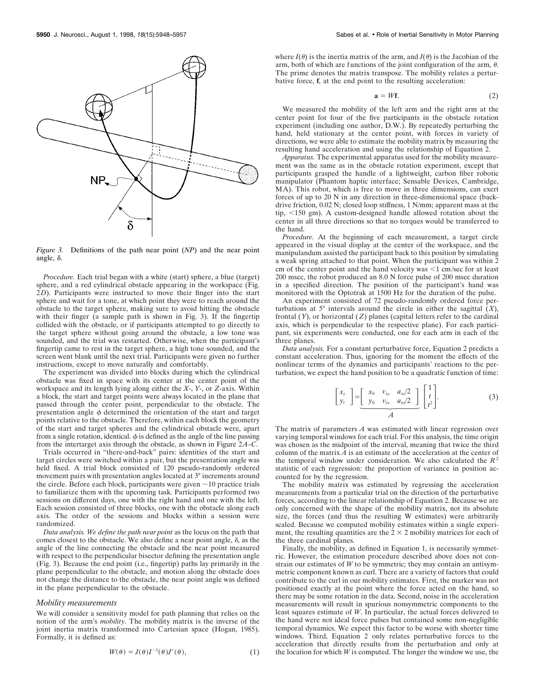

*Figure 3.* Definitions of the path near point (*NP*) and the near point angle,  $\delta$ .

*Procedure.* Each trial began with a white (start) sphere, a blue (target) sphere, and a red cylindrical obstacle appearing in the workspace (Fig. 2*D*). Participants were instructed to move their finger into the start sphere and wait for a tone, at which point they were to reach around the obstacle to the target sphere, making sure to avoid hitting the obstacle with their finger (a sample path is shown in Fig. 3). If the fingertip collided with the obstacle, or if participants attempted to go directly to the target sphere without going around the obstacle, a low tone was sounded, and the trial was restarted. Otherwise, when the participant's fingertip came to rest in the target sphere, a high tone sounded, and the screen went blank until the next trial. Participants were given no further instructions, except to move naturally and comfortably.

The experiment was divided into blocks during which the cylindrical obstacle was fixed in space with its center at the center point of the workspace and its length lying along either the *X*-, *Y*-, or *Z*-axis. Within a block, the start and target points were always located in the plane that passed through the center point, perpendicular to the obstacle. The presentation angle  $\phi$  determined the orientation of the start and target points relative to the obstacle. Therefore, within each block the geometry of the start and target spheres and the cylindrical obstacle were, apart from a single rotation, identical.  $\phi$  is defined as the angle of the line passing from the intertarget axis through the obstacle, as shown in Figure 2*A–C*.

Trials occurred in "there-and-back" pairs: identities of the start and target circles were switched within a pair, but the presentation angle was held fixed. A trial block consisted of 120 pseudo-randomly ordered movement pairs with presentation angles located at 3° increments around the circle. Before each block, participants were given  $\sim$ 10 practice trials to familiarize them with the upcoming task. Participants performed two sessions on different days, one with the right hand and one with the left. Each session consisted of three blocks, one with the obstacle along each axis. The order of the sessions and blocks within a session were randomized.

*Data analysis. We define the path near point* as the locus on the path that comes closest to the obstacle. We also define a near point angle,  $\delta$ , as the angle of the line connecting the obstacle and the near point measured with respect to the perpendicular bisector defining the presentation angle (Fig. 3). Because the end point (i.e., fingertip) paths lay primarily in the plane perpendicular to the obstacle, and motion along the obstacle does not change the distance to the obstacle, the near point angle was defined in the plane perpendicular to the obstacle.

#### *Mobility measurements*

We will consider a sensitivity model for path planning that relies on the notion of the arm's *mobility*. The mobility matrix is the inverse of the joint inertia matrix transformed into Cartesian space (Hogan, 1985). Formally, it is defined as:

where  $I(\theta)$  is the inertia matrix of the arm, and  $J(\theta)$  is the Jacobian of the arm, both of which are functions of the joint configuration of the arm,  $\theta$ . The prime denotes the matrix transpose. The mobility relates a perturbative force, **f**, at the end point to the resulting acceleration:

$$
\mathbf{a} = W\mathbf{f}.\tag{2}
$$

We measured the mobility of the left arm and the right arm at the center point for four of the five participants in the obstacle rotation experiment (including one author, D.W.). By repeatedly perturbing the hand, held stationary at the center point, with forces in variety of directions, we were able to estimate the mobility matrix by measuring the resulting hand acceleration and using the relationship of Equation 2.

*Apparatus.* The experimental apparatus used for the mobility measurement was the same as in the obstacle rotation experiment, except that participants grasped the handle of a lightweight, carbon fiber robotic manipulator (Phantom haptic interface; Sensable Devices, Cambridge, MA). This robot, which is free to move in three dimensions, can exert forces of up to 20 N in any direction in three-dimensional space (backdrive friction, 0.02 N; closed loop stiffness, 1 N/mm; apparent mass at the tip,  $\leq$ 150 gm). A custom-designed handle allowed rotation about the center in all three directions so that no torques would be transferred to the hand.

*Procedure.* At the beginning of each measurement, a target circle appeared in the visual display at the center of the workspace, and the manipulandum assisted the participant back to this position by simulating a weak spring attached to that point. When the participant was within 2 cm of the center point and the hand velocity was  $\leq 1$  cm/sec for at least 200 msec, the robot produced an 8.0 N force pulse of 200 msec duration in a specified direction. The position of the participant's hand was monitored with the Optotrak at 1500 Hz for the duration of the pulse.

An experiment consisted of 72 pseudo-randomly ordered force perturbations at  $5^\circ$  intervals around the circle in either the sagittal  $(X)$ , frontal (*Y*), or horizontal (*Z*) planes (capital letters refer to the cardinal axis, which is perpendicular to the respective plane). For each participant, six experiments were conducted, one for each arm in each of the three planes.

*Data analysis.* For a constant perturbative force, Equation 2 predicts a constant acceleration. Thus, ignoring for the moment the effects of the nonlinear terms of the dynamics and participants' reactions to the perturbation, we expect the hand position to be a quadratic function of time: tant perturbative for<br>s, ignoring for the n<br>and position to be a q<br>d position to be a q<br> $\left[\begin{array}{cc} x_0 & v_{x_0} & a_{x_0}/2 \\ y_0 & v_{y_0} & a_{y_0}/2 \end{array}\right]$ 

$$
\begin{bmatrix} x_t \\ y_t \end{bmatrix} = \underbrace{\begin{bmatrix} x_0 & v_{x_0} & a_{x_0}/2 \\ y_0 & v_{y_0} & a_{y_0}/2 \end{bmatrix}}_{A} \begin{bmatrix} 1 \\ t \\ t^2 \end{bmatrix}.
$$
 (3)

The matrix of parameters *A* was estimated with linear regression over varying temporal windows for each trial. For this analysis, the time origin was chosen as the midpoint of the interval, meaning that twice the third column of the matrix *A* is an estimate of the acceleration at the center of the temporal window under consideration. We also calculated the  $R<sup>2</sup>$ statistic of each regression: the proportion of variance in position accounted for by the regression.

The mobility matrix was estimated by regressing the acceleration measurements from a particular trial on the direction of the perturbative forces, according to the linear relationship of Equation 2. Because we are only concerned with the shape of the mobility matrix, not its absolute size, the forces (and thus the resulting W estimates) were arbitrarily scaled. Because we computed mobility estimates within a single experiment, the resulting quantities are the  $2 \times 2$  mobility matrices for each of the three cardinal planes.

Finally, the mobility, as defined in Equation 1, is necessarily symmetric. However, the estimation procedure described above does not constrain our estimates of *W* to be symmetric; they may contain an antisymmetric component known as curl. There are a variety of factors that could contribute to the curl in our mobility estimates. First, the marker was not positioned exactly at the point where the force acted on the hand, so there may be some rotation in the data. Second, noise in the acceleration measurements will result in spurious nonsymmetric components to the least squares estimate of *W*. In particular, the actual forces delivered to the hand were not ideal force pulses but contained some non-negligible temporal dynamics. We expect this factor to be worse with shorter time windows. Third, Equation 2 only relates perturbative forces to the acceleration that directly results from the perturbation and only at the location for which  $W$  is computed. The longer the window we use, the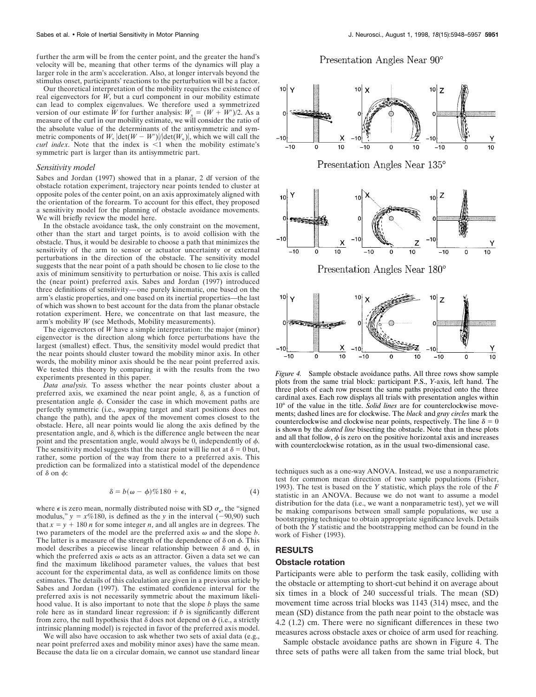further the arm will be from the center point, and the greater the hand's velocity will be, meaning that other terms of the dynamics will play a larger role in the arm's acceleration. Also, at longer intervals beyond the stimulus onset, participants' reactions to the perturbation will be a factor.

Our theoretical interpretation of the mobility requires the existence of real eigenvectors for  $\hat{W}$ , but a curl component in our mobility estimate can lead to complex eigenvalues. We therefore used a symmetrized version of our estimate *W* for further analysis:  $W_s = (W + W^2)/2$ . As a measure of the curl in our mobility estimate, we will consider the ratio of the absolute value of the determinants of the antisymmetric and symmetric components of *W*,  $|\det(W - W')|/|\det(W_s)|$ , which we will call the *curl index*. Note that the index is  $\leq 1$  when the mobility estimate's symmetric part is larger than its antisymmetric part.

#### *Sensitivity model*

Sabes and Jordan (1997) showed that in a planar, 2 df version of the obstacle rotation experiment, trajectory near points tended to cluster at opposite poles of the center point, on an axis approximately aligned with the orientation of the forearm. To account for this effect, they proposed a sensitivity model for the planning of obstacle avoidance movements. We will briefly review the model here.

In the obstacle avoidance task, the only constraint on the movement, other than the start and target points, is to avoid collision with the obstacle. Thus, it would be desirable to choose a path that minimizes the sensitivity of the arm to sensor or actuator uncertainty or external perturbations in the direction of the obstacle. The sensitivity model suggests that the near point of a path should be chosen to lie close to the axis of minimum sensitivity to perturbation or noise. This axis is called the (near point) preferred axis. Sabes and Jordan (1997) introduced three definitions of sensitivity—one purely kinematic, one based on the arm's elastic properties, and one based on its inertial properties—the last of which was shown to best account for the data from the planar obstacle rotation experiment. Here, we concentrate on that last measure, the arm's mobility *W* (see Methods, Mobility measurements).

The eigenvectors of *W* have a simple interpretation: the major (minor) eigenvector is the direction along which force perturbations have the largest (smallest) effect. Thus, the sensitivity model would predict that the near points should cluster toward the mobility minor axis. In other words, the mobility minor axis should be the near point preferred axis. We tested this theory by comparing it with the results from the two experiments presented in this paper.

*Data analysis.* To assess whether the near points cluster about a preferred axis, we examined the near point angle,  $\delta$ , as a function of presentation angle  $\phi$ . Consider the case in which movement paths are perfectly symmetric (i.e., swapping target and start positions does not change the path), and the apex of the movement comes closest to the obstacle. Here, all near points would lie along the axis defined by the presentation angle, and  $\delta$ , which is the difference angle between the near point and the presentation angle, would always be  $0$ , independently of  $\phi$ . The sensitivity model suggests that the near point will lie not at  $\delta = 0$  but, rather, some portion of the way from there to a preferred axis. This prediction can be formalized into a statistical model of the dependence of  $\delta$  on  $\phi$ :

$$
\delta = b(\omega - \phi)\%180 + \epsilon,\tag{4}
$$

where  $\epsilon$  is zero mean, normally distributed noise with SD  $\sigma_{\epsilon}$ , the "signed" modulus,"  $y = x\%180$ , is defined as the *y* in the interval (-90,90) such that  $x = y + 180 n$  for some integer *n*, and all angles are in degrees. The two parameters of the model are the preferred axis  $\omega$  and the slope  $b$ . The latter is a measure of the strength of the dependence of  $\delta$  on  $\phi$ . This model describes a piecewise linear relationship between  $\delta$  and  $\phi$ , in which the preferred axis  $\omega$  acts as an attractor. Given a data set we can find the maximum likelihood parameter values, the values that best account for the experimental data, as well as confidence limits on those estimates. The details of this calculation are given in a previous article by Sabes and Jordan (1997). The estimated confidence interval for the preferred axis is not necessarily symmetric about the maximum likelihood value. It is also important to note that the slope *b* plays the same role here as in standard linear regression: if *b* is significantly different from zero, the null hypothesis that  $\delta$  does not depend on  $\phi$  (i.e., a strictly intrinsic planning model) is rejected in favor of the preferred axis model.

We will also have occasion to ask whether two sets of axial data (e.g., near point preferred axes and mobility minor axes) have the same mean. Because the data lie on a circular domain, we cannot use standard linear

# Presentation Angles Near 90<sup>°</sup>



*Figure 4.* Sample obstacle avoidance paths. All three rows show sample plots from the same trial block: participant P.S., *Y*-axis, left hand. The three plots of each row present the same paths projected onto the three cardinal axes. Each row displays all trials with presentation angles within 10° of the value in the title. *Solid lines* are for counterclockwise movements; dashed lines are for clockwise. The *black* and *gray circles* mark the counterclockwise and clockwise near points, respectively. The line  $\delta = 0$ is shown by the *dotted line* bisecting the obstacle. Note that in these plots and all that follow,  $\phi$  is zero on the positive horizontal axis and increases with counterclockwise rotation, as in the usual two-dimensional case.

techniques such as a one-way ANOVA. Instead, we use a nonparametric test for common mean direction of two sample populations (Fisher, 1993). The test is based on the *Y* statistic, which plays the role of the *F* statistic in an ANOVA. Because we do not want to assume a model distribution for the data (i.e., we want a nonparametric test), yet we will be making comparisons between small sample populations, we use a bootstrapping technique to obtain appropriate significance levels. Details of both the *Y* statistic and the bootstrapping method can be found in the work of Fisher (1993).

# **RESULTS**

## **Obstacle rotation**

Participants were able to perform the task easily, colliding with the obstacle or attempting to short-cut behind it on average about six times in a block of 240 successful trials. The mean (SD) movement time across trial blocks was 1143 (314) msec, and the mean (SD) distance from the path near point to the obstacle was 4.2 (1.2) cm. There were no significant differences in these two measures across obstacle axes or choice of arm used for reaching.

Sample obstacle avoidance paths are shown in Figure 4. The three sets of paths were all taken from the same trial block, but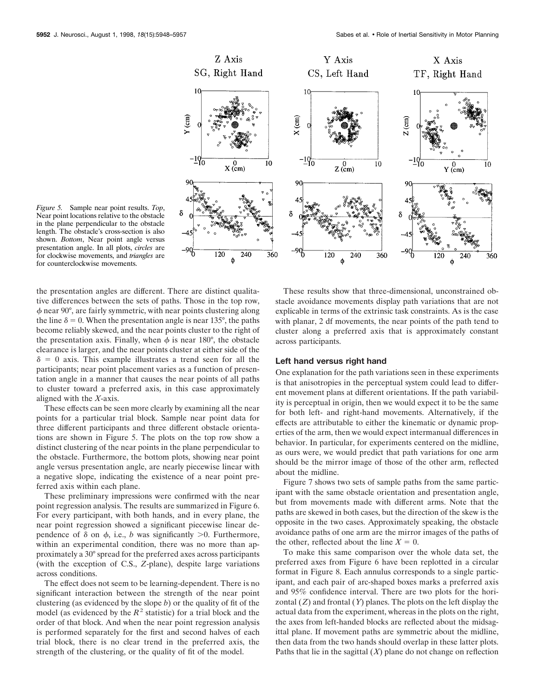

*Figure 5.* Sample near point results. *Top*, Near point locations relative to the obstacle in the plane perpendicular to the obstacle length. The obstacle's cross-section is also shown. *Bottom*, Near point angle versus presentation angle. In all plots, *circles* are for clockwise movements, and *triangles* are for counterclockwise movements.

the presentation angles are different. There are distinct qualitative differences between the sets of paths. Those in the top row,  $\phi$  near 90 $^{\circ}$ , are fairly symmetric, with near points clustering along the line  $\delta = 0$ . When the presentation angle is near 135°, the paths become reliably skewed, and the near points cluster to the right of the presentation axis. Finally, when  $\phi$  is near 180°, the obstacle clearance is larger, and the near points cluster at either side of the  $\delta = 0$  axis. This example illustrates a trend seen for all the participants; near point placement varies as a function of presentation angle in a manner that causes the near points of all paths to cluster toward a preferred axis, in this case approximately aligned with the *X*-axis.

These effects can be seen more clearly by examining all the near points for a particular trial block. Sample near point data for three different participants and three different obstacle orientations are shown in Figure 5. The plots on the top row show a distinct clustering of the near points in the plane perpendicular to the obstacle. Furthermore, the bottom plots, showing near point angle versus presentation angle, are nearly piecewise linear with a negative slope, indicating the existence of a near point preferred axis within each plane.

These preliminary impressions were confirmed with the near point regression analysis. The results are summarized in Figure 6. For every participant, with both hands, and in every plane, the near point regression showed a significant piecewise linear dependence of  $\delta$  on  $\phi$ , i.e., *b* was significantly  $>0$ . Furthermore, within an experimental condition, there was no more than approximately a 30° spread for the preferred axes across participants (with the exception of C.S., *Z*-plane), despite large variations across conditions.

The effect does not seem to be learning-dependent. There is no significant interaction between the strength of the near point clustering (as evidenced by the slope *b*) or the quality of fit of the model (as evidenced by the  $R^2$  statistic) for a trial block and the order of that block. And when the near point regression analysis is performed separately for the first and second halves of each trial block, there is no clear trend in the preferred axis, the strength of the clustering, or the quality of fit of the model.

These results show that three-dimensional, unconstrained obstacle avoidance movements display path variations that are not explicable in terms of the extrinsic task constraints. As is the case with planar, 2 df movements, the near points of the path tend to cluster along a preferred axis that is approximately constant across participants.

#### **Left hand versus right hand**

One explanation for the path variations seen in these experiments is that anisotropies in the perceptual system could lead to different movement plans at different orientations. If the path variability is perceptual in origin, then we would expect it to be the same for both left- and right-hand movements. Alternatively, if the effects are attributable to either the kinematic or dynamic properties of the arm, then we would expect intermanual differences in behavior. In particular, for experiments centered on the midline, as ours were, we would predict that path variations for one arm should be the mirror image of those of the other arm, reflected about the midline.

Figure 7 shows two sets of sample paths from the same participant with the same obstacle orientation and presentation angle, but from movements made with different arms. Note that the paths are skewed in both cases, but the direction of the skew is the opposite in the two cases. Approximately speaking, the obstacle avoidance paths of one arm are the mirror images of the paths of the other, reflected about the line  $X = 0$ .

To make this same comparison over the whole data set, the preferred axes from Figure 6 have been replotted in a circular format in Figure 8. Each annulus corresponds to a single participant, and each pair of arc-shaped boxes marks a preferred axis and 95% confidence interval. There are two plots for the horizontal (*Z*) and frontal (*Y*) planes. The plots on the left display the actual data from the experiment, whereas in the plots on the right, the axes from left-handed blocks are reflected about the midsagittal plane. If movement paths are symmetric about the midline, then data from the two hands should overlap in these latter plots. Paths that lie in the sagittal  $(X)$  plane do not change on reflection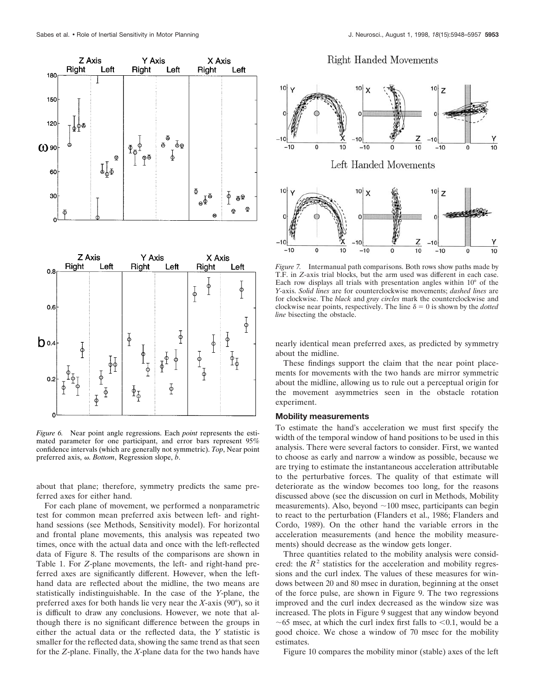

*Figure 6.* Near point angle regressions. Each *point* represents the estimated parameter for one participant, and error bars represent 95% confidence intervals (which are generally not symmetric). *Top*, Near point preferred axis, <sup>v</sup>. *Bottom*, Regression slope, *b*.

about that plane; therefore, symmetry predicts the same preferred axes for either hand.

For each plane of movement, we performed a nonparametric test for common mean preferred axis between left- and righthand sessions (see Methods, Sensitivity model). For horizontal and frontal plane movements, this analysis was repeated two times, once with the actual data and once with the left-reflected data of Figure 8. The results of the comparisons are shown in Table 1. For *Z*-plane movements, the left- and right-hand preferred axes are significantly different. However, when the lefthand data are reflected about the midline, the two means are statistically indistinguishable. In the case of the *Y*-plane, the preferred axes for both hands lie very near the *X*-axis (90°), so it is difficult to draw any conclusions. However, we note that although there is no significant difference between the groups in either the actual data or the reflected data, the *Y* statistic is smaller for the reflected data, showing the same trend as that seen for the *Z*-plane. Finally, the *X*-plane data for the two hands have

# **Right Handed Movements**



*Figure 7.* Intermanual path comparisons. Both rows show paths made by T.F. in *Z*-axis trial blocks, but the arm used was different in each case. Each row displays all trials with presentation angles within 10° of the *Y*-axis. *Solid lines* are for counterclockwise movements; *dashed lines* are for clockwise. The *black* and *gray circles* mark the counterclockwise and clockwise near points, respectively. The line  $\delta = 0$  is shown by the *dotted line* bisecting the obstacle.

nearly identical mean preferred axes, as predicted by symmetry about the midline.

These findings support the claim that the near point placements for movements with the two hands are mirror symmetric about the midline, allowing us to rule out a perceptual origin for the movement asymmetries seen in the obstacle rotation experiment.

#### **Mobility measurements**

To estimate the hand's acceleration we must first specify the width of the temporal window of hand positions to be used in this analysis. There were several factors to consider. First, we wanted to choose as early and narrow a window as possible, because we are trying to estimate the instantaneous acceleration attributable to the perturbative forces. The quality of that estimate will deteriorate as the window becomes too long, for the reasons discussed above (see the discussion on curl in Methods, Mobility measurements). Also, beyond  $\sim$ 100 msec, participants can begin to react to the perturbation (Flanders et al., 1986; Flanders and Cordo, 1989). On the other hand the variable errors in the acceleration measurements (and hence the mobility measurements) should decrease as the window gets longer.

Three quantities related to the mobility analysis were considered: the  $R^2$  statistics for the acceleration and mobility regressions and the curl index. The values of these measures for windows between 20 and 80 msec in duration, beginning at the onset of the force pulse, are shown in Figure 9. The two regressions improved and the curl index decreased as the window size was increased. The plots in Figure 9 suggest that any window beyond  $\sim$  65 msec, at which the curl index first falls to <0.1, would be a good choice. We chose a window of 70 msec for the mobility estimates.

Figure 10 compares the mobility minor (stable) axes of the left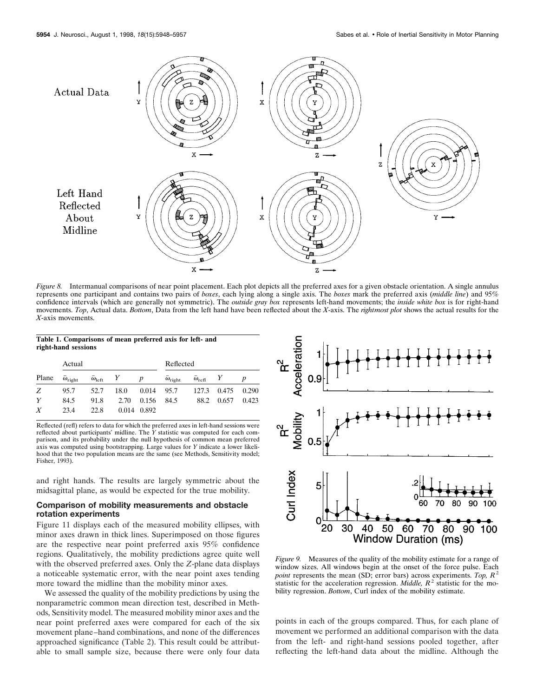

*Figure 8.* Intermanual comparisons of near point placement. Each plot depicts all the preferred axes for a given obstacle orientation. A single annulus represents one participant and contains two pairs of *boxes*, each lying along a single axis. The *boxes* mark the preferred axis (*middle line*) and 95% confidence intervals (which are generally not symmetric). The *outside gray box* represents left-hand movements; the *inside white box* is for right-hand movements. *Top*, Actual data. *Bottom*, Data from the left hand have been reflected about the *X*-axis. The *rightmost plot* shows the actual results for the *X*-axis movements.

**Table 1. Comparisons of mean preferred axis for left- and right-hand sessions**

|                  | Actual                  |                          |      |                  | Reflected               |                          |                   |       |
|------------------|-------------------------|--------------------------|------|------------------|-------------------------|--------------------------|-------------------|-------|
| Plane            | $\omega_{\text{right}}$ | $\omega_{\text{left}}$ Y |      | $\boldsymbol{p}$ | $\omega_{\text{right}}$ | $\omega_{\text{refl}}$ Y |                   |       |
| Z                | 95.7                    | 52.7                     | 18.0 | 0.014            | 95.7                    |                          | 127.3 0.475 0.290 |       |
| Y                | 84.5                    | 91.8                     | 2.70 | 0.156            | 84.5                    | 88.2                     | 0.657             | 0.423 |
| $\boldsymbol{X}$ | 23.4                    | 22.8                     |      | 0.014 0.892      |                         |                          |                   |       |

Reflected (refl) refers to data for which the preferred axes in left-hand sessions were reflected about participants' midline. The *Y* statistic was computed for each comparison, and its probability under the null hypothesis of common mean preferred axis was computed using bootstrapping. Large values for *Y* indicate a lower likelihood that the two population means are the same (see Methods, Sensitivity model; Fisher, 1993).

and right hands. The results are largely symmetric about the midsagittal plane, as would be expected for the true mobility.

## **Comparison of mobility measurements and obstacle rotation experiments**

Figure 11 displays each of the measured mobility ellipses, with minor axes drawn in thick lines. Superimposed on those figures are the respective near point preferred axis 95% confidence regions. Qualitatively, the mobility predictions agree quite well with the observed preferred axes. Only the *Z*-plane data displays a noticeable systematic error, with the near point axes tending more toward the midline than the mobility minor axes.

We assessed the quality of the mobility predictions by using the nonparametric common mean direction test, described in Methods, Sensitivity model. The measured mobility minor axes and the near point preferred axes were compared for each of the six movement plane–hand combinations, and none of the differences approached significance (Table 2). This result could be attributable to small sample size, because there were only four data



*Figure 9.* Measures of the quality of the mobility estimate for a range of window sizes. All windows begin at the onset of the force pulse. Each *point* represents the mean (SD; error bars) across experiments. *Top, R*<sup>2</sup> statistic for the acceleration regression. *Middle*,  $R^2$  statistic for the mobility regression. *Bottom*, Curl index of the mobility estimate.

points in each of the groups compared. Thus, for each plane of movement we performed an additional comparison with the data from the left- and right-hand sessions pooled together, after reflecting the left-hand data about the midline. Although the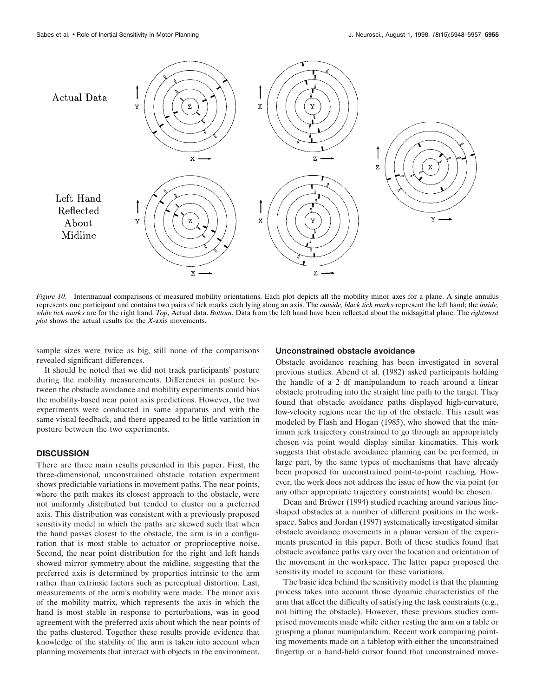

*Figure 10.* Intermanual comparisons of measured mobility orientations. Each plot depicts all the mobility minor axes for a plane. A single annulus represents one participant and contains two pairs of tick marks each lying along an axis. The *outside, black tick marks* represent the left hand; the *inside, white tick marks* are for the right hand. *Top*, Actual data. *Bottom*, Data from the left hand have been reflected about the midsagittal plane. The *rightmost plot* shows the actual results for the *X*-axis movements.

sample sizes were twice as big, still none of the comparisons revealed significant differences.

#### **Unconstrained obstacle avoidance**

It should be noted that we did not track participants' posture during the mobility measurements. Differences in posture between the obstacle avoidance and mobility experiments could bias the mobility-based near point axis predictions. However, the two experiments were conducted in same apparatus and with the same visual feedback, and there appeared to be little variation in posture between the two experiments.

## **DISCUSSION**

There are three main results presented in this paper. First, the three-dimensional, unconstrained obstacle rotation experiment shows predictable variations in movement paths. The near points, where the path makes its closest approach to the obstacle, were not uniformly distributed but tended to cluster on a preferred axis. This distribution was consistent with a previously proposed sensitivity model in which the paths are skewed such that when the hand passes closest to the obstacle, the arm is in a configuration that is most stable to actuator or proprioceptive noise. Second, the near point distribution for the right and left hands showed mirror symmetry about the midline, suggesting that the preferred axis is determined by properties intrinsic to the arm rather than extrinsic factors such as perceptual distortion. Last, measurements of the arm's mobility were made. The minor axis of the mobility matrix, which represents the axis in which the hand is most stable in response to perturbations, was in good agreement with the preferred axis about which the near points of the paths clustered. Together these results provide evidence that knowledge of the stability of the arm is taken into account when planning movements that interact with objects in the environment.

Obstacle avoidance reaching has been investigated in several previous studies. Abend et al. (1982) asked participants holding the handle of a 2 df manipulandum to reach around a linear obstacle protruding into the straight line path to the target. They found that obstacle avoidance paths displayed high-curvature, low-velocity regions near the tip of the obstacle. This result was modeled by Flash and Hogan (1985), who showed that the minimum jerk trajectory constrained to go through an appropriately chosen via point would display similar kinematics. This work suggests that obstacle avoidance planning can be performed, in large part, by the same types of mechanisms that have already been proposed for unconstrained point-to-point reaching. However, the work does not address the issue of how the via point (or any other appropriate trajectory constraints) would be chosen.

Dean and Brüwer (1994) studied reaching around various lineshaped obstacles at a number of different positions in the workspace. Sabes and Jordan (1997) systematically investigated similar obstacle avoidance movements in a planar version of the experiments presented in this paper. Both of these studies found that obstacle avoidance paths vary over the location and orientation of the movement in the workspace. The latter paper proposed the sensitivity model to account for these variations.

The basic idea behind the sensitivity model is that the planning process takes into account those dynamic characteristics of the arm that affect the difficulty of satisfying the task constraints (e.g., not hitting the obstacle). However, these previous studies comprised movements made while either resting the arm on a table or grasping a planar manipulandum. Recent work comparing pointing movements made on a tabletop with either the unconstrained fingertip or a hand-held cursor found that unconstrained move-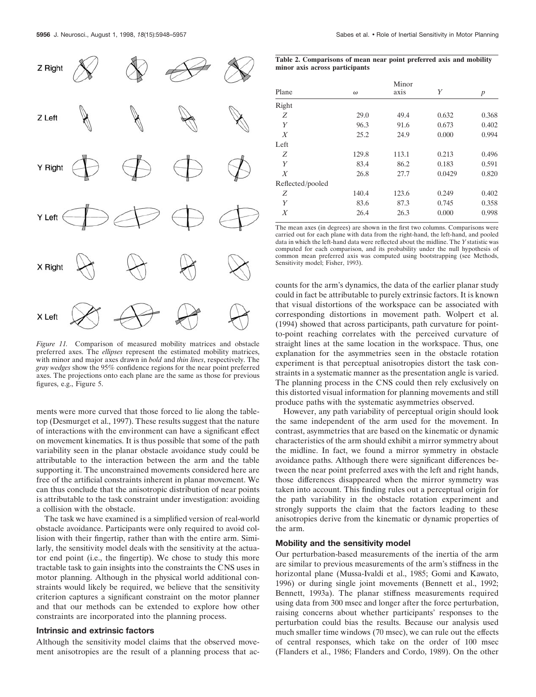

*Figure 11.* Comparison of measured mobility matrices and obstacle preferred axes. The *ellipses* represent the estimated mobility matrices, with minor and major axes drawn in *bold* and *thin lines*, respectively. The *gray wedges* show the 95% confidence regions for the near point preferred axes. The projections onto each plane are the same as those for previous figures, e.g., Figure 5.

ments were more curved that those forced to lie along the tabletop (Desmurget et al., 1997). These results suggest that the nature of interactions with the environment can have a significant effect on movement kinematics. It is thus possible that some of the path variability seen in the planar obstacle avoidance study could be attributable to the interaction between the arm and the table supporting it. The unconstrained movements considered here are free of the artificial constraints inherent in planar movement. We can thus conclude that the anisotropic distribution of near points is attributable to the task constraint under investigation: avoiding a collision with the obstacle.

The task we have examined is a simplified version of real-world obstacle avoidance. Participants were only required to avoid collision with their fingertip, rather than with the entire arm. Similarly, the sensitivity model deals with the sensitivity at the actuator end point (i.e., the fingertip). We chose to study this more tractable task to gain insights into the constraints the CNS uses in motor planning. Although in the physical world additional constraints would likely be required, we believe that the sensitivity criterion captures a significant constraint on the motor planner and that our methods can be extended to explore how other constraints are incorporated into the planning process.

#### **Intrinsic and extrinsic factors**

Although the sensitivity model claims that the observed movement anisotropies are the result of a planning process that ac-

| Table 2. Comparisons of mean near point preferred axis and mobility |  |  |
|---------------------------------------------------------------------|--|--|
| minor axis across participants                                      |  |  |

|                  |          | Minor |        | $\boldsymbol{p}$ |
|------------------|----------|-------|--------|------------------|
| Plane            | $\omega$ | axis  | Υ      |                  |
| Right            |          |       |        |                  |
| Ζ                | 29.0     | 49.4  | 0.632  | 0.368            |
| Y                | 96.3     | 91.6  | 0.673  | 0.402            |
| $\boldsymbol{X}$ | 25.2     | 24.9  | 0.000  | 0.994            |
| Left             |          |       |        |                  |
| Ζ                | 129.8    | 113.1 | 0.213  | 0.496            |
| Y                | 83.4     | 86.2  | 0.183  | 0.591            |
| $\boldsymbol{X}$ | 26.8     | 27.7  | 0.0429 | 0.820            |
| Reflected/pooled |          |       |        |                  |
| Ζ                | 140.4    | 123.6 | 0.249  | 0.402            |
| Y                | 83.6     | 87.3  | 0.745  | 0.358            |
| X                | 26.4     | 26.3  | 0.000  | 0.998            |

The mean axes (in degrees) are shown in the first two columns. Comparisons were carried out for each plane with data from the right-hand, the left-hand, and pooled data in which the left-hand data were reflected about the midline. The *Y* statistic was computed for each comparison, and its probability under the null hypothesis of common mean preferred axis was computed using bootstrapping (see Methods, Sensitivity model; Fisher, 1993).

counts for the arm's dynamics, the data of the earlier planar study could in fact be attributable to purely extrinsic factors. It is known that visual distortions of the workspace can be associated with corresponding distortions in movement path. Wolpert et al. (1994) showed that across participants, path curvature for pointto-point reaching correlates with the perceived curvature of straight lines at the same location in the workspace. Thus, one explanation for the asymmetries seen in the obstacle rotation experiment is that perceptual anisotropies distort the task constraints in a systematic manner as the presentation angle is varied. The planning process in the CNS could then rely exclusively on this distorted visual information for planning movements and still produce paths with the systematic asymmetries observed.

However, any path variability of perceptual origin should look the same independent of the arm used for the movement. In contrast, asymmetries that are based on the kinematic or dynamic characteristics of the arm should exhibit a mirror symmetry about the midline. In fact, we found a mirror symmetry in obstacle avoidance paths. Although there were significant differences between the near point preferred axes with the left and right hands, those differences disappeared when the mirror symmetry was taken into account. This finding rules out a perceptual origin for the path variability in the obstacle rotation experiment and strongly supports the claim that the factors leading to these anisotropies derive from the kinematic or dynamic properties of the arm.

## **Mobility and the sensitivity model**

Our perturbation-based measurements of the inertia of the arm are similar to previous measurements of the arm's stiffness in the horizontal plane (Mussa-Ivaldi et al., 1985; Gomi and Kawato, 1996) or during single joint movements (Bennett et al., 1992; Bennett, 1993a). The planar stiffness measurements required using data from 300 msec and longer after the force perturbation, raising concerns about whether participants' responses to the perturbation could bias the results. Because our analysis used much smaller time windows (70 msec), we can rule out the effects of central responses, which take on the order of 100 msec (Flanders et al., 1986; Flanders and Cordo, 1989). On the other